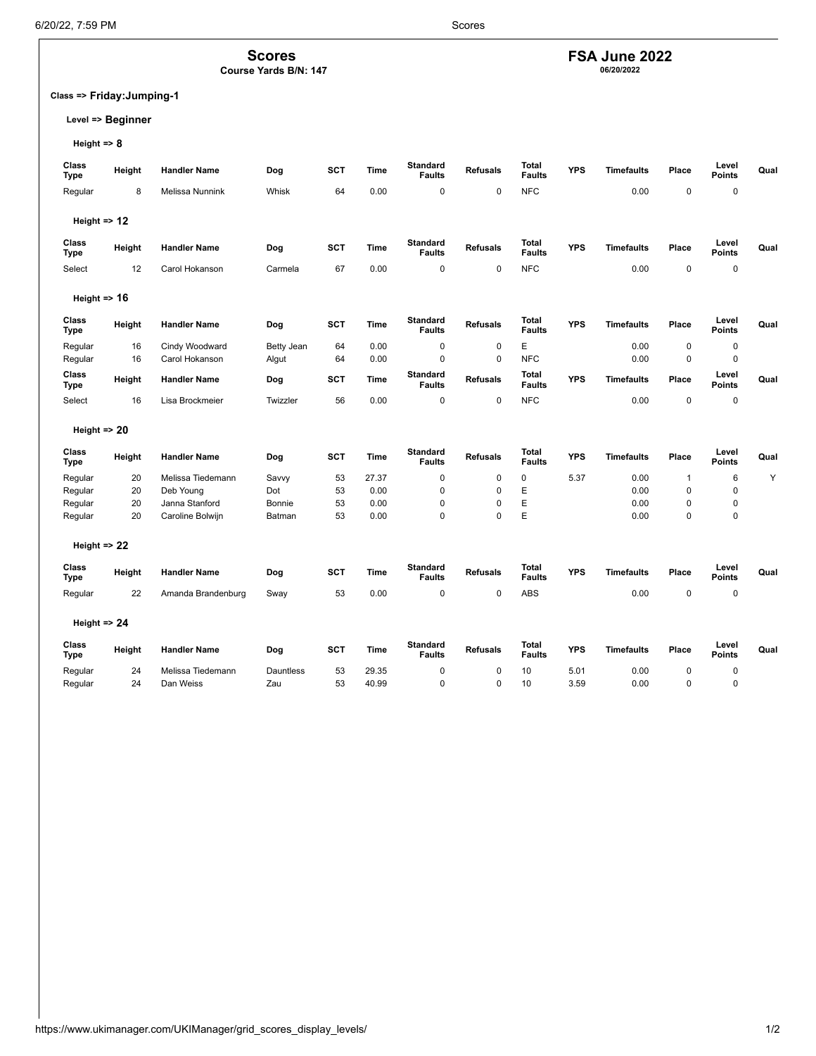**Scores Course Yards B/N: 147**

**Class => Friday:Jumping-1**

## **Level => Beginner**

**Height => 8**

| Class<br><b>Type</b>    | Height | <b>Handler Name</b> | Dog        | <b>SCT</b> | Time        | <b>Standard</b><br><b>Faults</b> | <b>Refusals</b> | <b>Total</b><br><b>Faults</b> | <b>YPS</b> | <b>Timefaults</b> | Place        | Level<br><b>Points</b> | Qual |
|-------------------------|--------|---------------------|------------|------------|-------------|----------------------------------|-----------------|-------------------------------|------------|-------------------|--------------|------------------------|------|
| Regular                 | 8      | Melissa Nunnink     | Whisk      | 64         | 0.00        | $\mathbf 0$                      | 0               | <b>NFC</b>                    |            | 0.00              | $\pmb{0}$    | 0                      |      |
| Height => 12            |        |                     |            |            |             |                                  |                 |                               |            |                   |              |                        |      |
| Class<br><b>Type</b>    | Height | <b>Handler Name</b> | Dog        | <b>SCT</b> | Time        | <b>Standard</b><br><b>Faults</b> | <b>Refusals</b> | <b>Total</b><br><b>Faults</b> | <b>YPS</b> | <b>Timefaults</b> | Place        | Level<br><b>Points</b> | Qual |
| Select                  | 12     | Carol Hokanson      | Carmela    | 67         | 0.00        | $\mathbf 0$                      | 0               | <b>NFC</b>                    |            | 0.00              | $\mathbf 0$  | 0                      |      |
| Height $\Rightarrow$ 16 |        |                     |            |            |             |                                  |                 |                               |            |                   |              |                        |      |
| Class<br>Type           | Height | <b>Handler Name</b> | Dog        | <b>SCT</b> | Time        | <b>Standard</b><br><b>Faults</b> | <b>Refusals</b> | <b>Total</b><br><b>Faults</b> | <b>YPS</b> | Timefaults        | Place        | Level<br><b>Points</b> | Qual |
| Regular                 | 16     | Cindy Woodward      | Betty Jean | 64         | 0.00        | $\mathbf 0$                      | 0               | E                             |            | 0.00              | $\mathbf 0$  | 0                      |      |
| Regular                 | 16     | Carol Hokanson      | Algut      | 64         | 0.00        | $\mathbf 0$                      | 0               | <b>NFC</b>                    |            | 0.00              | $\mathbf 0$  | $\pmb{0}$              |      |
| Class<br><b>Type</b>    | Height | <b>Handler Name</b> | Dog        | <b>SCT</b> | Time        | <b>Standard</b><br><b>Faults</b> | <b>Refusals</b> | <b>Total</b><br><b>Faults</b> | <b>YPS</b> | <b>Timefaults</b> | Place        | Level<br>Points        | Qual |
| Select                  | 16     | Lisa Brockmeier     | Twizzler   | 56         | 0.00        | $\mathbf 0$                      | 0               | <b>NFC</b>                    |            | 0.00              | $\pmb{0}$    | 0                      |      |
| Height $\Rightarrow$ 20 |        |                     |            |            |             |                                  |                 |                               |            |                   |              |                        |      |
| Class<br><b>Type</b>    | Height | <b>Handler Name</b> | Dog        | <b>SCT</b> | <b>Time</b> | <b>Standard</b><br><b>Faults</b> | <b>Refusals</b> | <b>Total</b><br><b>Faults</b> | <b>YPS</b> | <b>Timefaults</b> | Place        | Level<br><b>Points</b> | Qual |
| Regular                 | 20     | Melissa Tiedemann   | Savvy      | 53         | 27.37       | $\mathbf 0$                      | 0               | $\mathbf 0$                   | 5.37       | 0.00              | $\mathbf{1}$ | 6                      | Υ    |
| Regular                 | 20     | Deb Young           | Dot        | 53         | 0.00        | $\mathbf 0$                      | 0               | E                             |            | 0.00              | $\mathbf 0$  | 0                      |      |
| Regular                 | 20     | Janna Stanford      | Bonnie     | 53         | 0.00        | $\pmb{0}$                        | 0               | Е                             |            | 0.00              | $\mathbf 0$  | 0                      |      |
| Regular                 | 20     | Caroline Bolwijn    | Batman     | 53         | 0.00        | $\mathbf 0$                      | 0               | E                             |            | 0.00              | $\mathbf 0$  | 0                      |      |
| Height $\Rightarrow$ 22 |        |                     |            |            |             |                                  |                 |                               |            |                   |              |                        |      |
| Class<br><b>Type</b>    | Height | <b>Handler Name</b> | Dog        | SCT        | Time        | <b>Standard</b><br><b>Faults</b> | <b>Refusals</b> | <b>Total</b><br><b>Faults</b> | <b>YPS</b> | Timefaults        | Place        | Level<br><b>Points</b> | Qual |
| Regular                 | 22     | Amanda Brandenburg  | Sway       | 53         | 0.00        | $\mathbf 0$                      | $\mathbf 0$     | ABS                           |            | 0.00              | $\pmb{0}$    | 0                      |      |
| Height $\Rightarrow$ 24 |        |                     |            |            |             |                                  |                 |                               |            |                   |              |                        |      |
| Class<br><b>Type</b>    | Height | <b>Handler Name</b> | Dog        | <b>SCT</b> | Time        | Standard<br><b>Faults</b>        | <b>Refusals</b> | Total<br><b>Faults</b>        | <b>YPS</b> | <b>Timefaults</b> | Place        | Level<br><b>Points</b> | Qual |
| Regular                 | 24     | Melissa Tiedemann   | Dauntless  | 53         | 29.35       | $\mathbf 0$                      | 0               | 10                            | 5.01       | 0.00              | $\mathbf 0$  | 0                      |      |
| Regular                 | 24     | Dan Weiss           | Zau        | 53         | 40.99       | $\mathbf 0$                      | 0               | 10                            | 3.59       | 0.00              | $\mathbf 0$  | 0                      |      |
|                         |        |                     |            |            |             |                                  |                 |                               |            |                   |              |                        |      |

**FSA June 2022 06/20/2022**